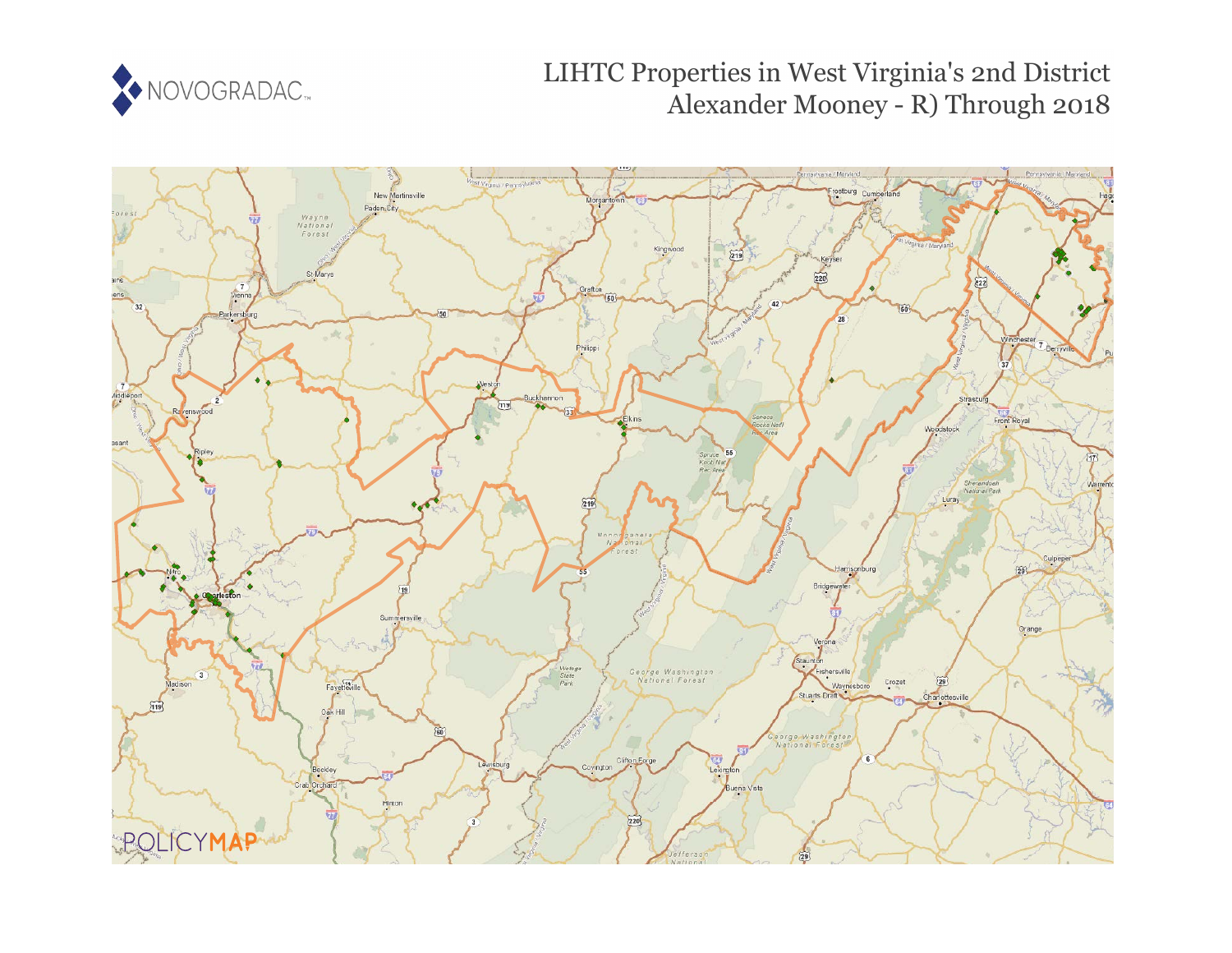

# LIHTC Properties in West Virginia's 2nd District Alexander Mooney - R) Through 2018

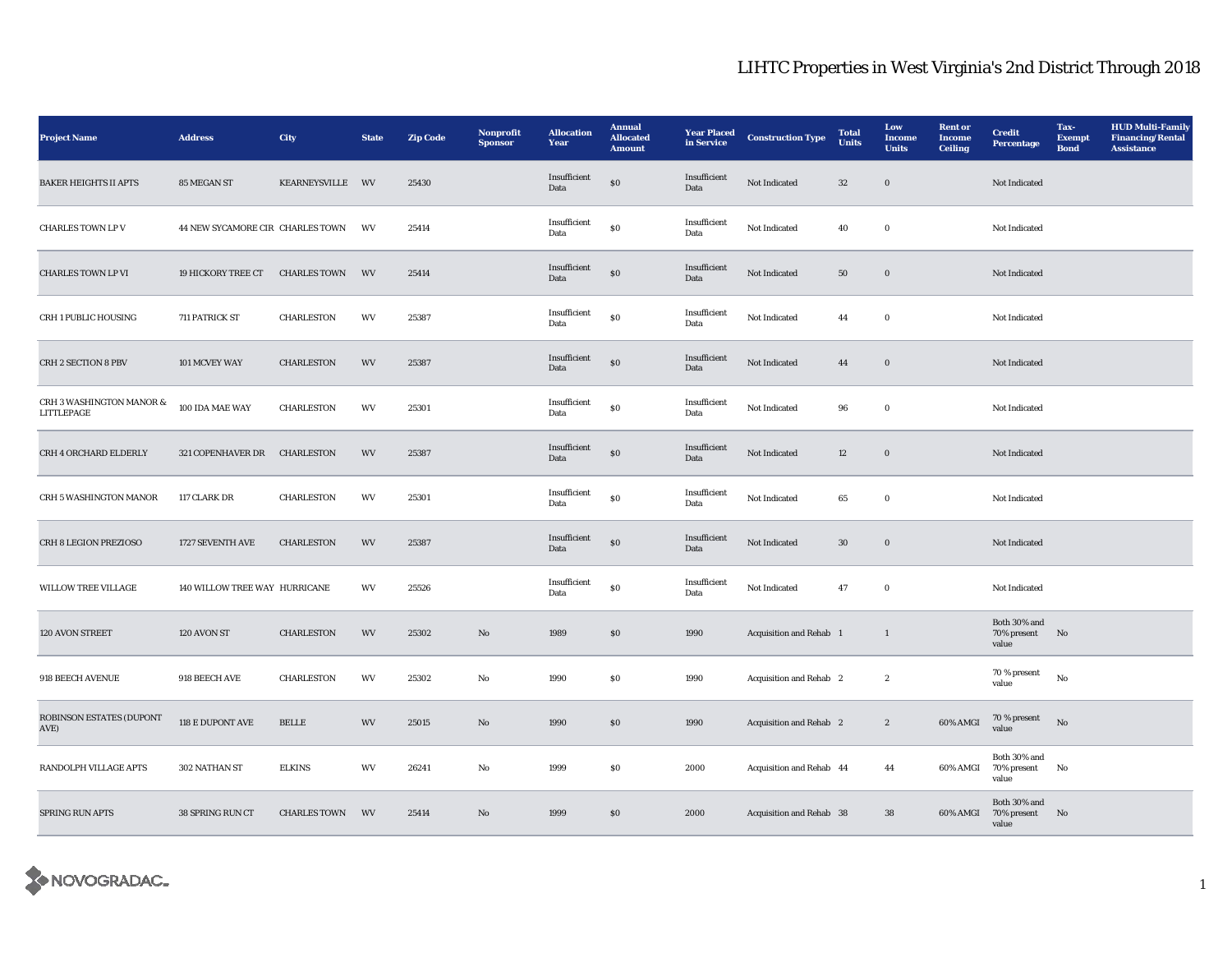| <b>Project Name</b>                    | <b>Address</b>                   | City                | <b>State</b> | <b>Zip Code</b> | Nonprofit<br><b>Sponsor</b> | <b>Allocation</b><br>Year | <b>Annual</b><br><b>Allocated</b><br><b>Amount</b> | <b>Year Placed</b><br>in Service | <b>Construction Type</b> | <b>Total</b><br><b>Units</b> | Low<br>Income<br><b>Units</b> | <b>Rent</b> or<br><b>Income</b><br><b>Ceiling</b> | <b>Credit</b><br>Percentage             | Tax-<br><b>Exempt</b><br><b>Bond</b> | <b>HUD Multi-Family</b><br><b>Financing/Rental</b><br><b>Assistance</b> |
|----------------------------------------|----------------------------------|---------------------|--------------|-----------------|-----------------------------|---------------------------|----------------------------------------------------|----------------------------------|--------------------------|------------------------------|-------------------------------|---------------------------------------------------|-----------------------------------------|--------------------------------------|-------------------------------------------------------------------------|
| <b>BAKER HEIGHTS II APTS</b>           | 85 MEGAN ST                      | KEARNEYSVILLE WV    |              | 25430           |                             | Insufficient<br>Data      | $\$0$                                              | Insufficient<br>Data             | Not Indicated            | $32\,$                       | $\mathbf 0$                   |                                                   | Not Indicated                           |                                      |                                                                         |
| <b>CHARLES TOWN LP V</b>               | 44 NEW SYCAMORE CIR CHARLES TOWN |                     | WV           | 25414           |                             | Insufficient<br>Data      | $\$0$                                              | Insufficient<br>Data             | Not Indicated            | 40                           | $\mathbf 0$                   |                                                   | Not Indicated                           |                                      |                                                                         |
| <b>CHARLES TOWN LP VI</b>              | 19 HICKORY TREE CT               | <b>CHARLES TOWN</b> | WV           | 25414           |                             | Insufficient<br>Data      | $\$0$                                              | Insufficient<br>Data             | Not Indicated            | 50                           | $\boldsymbol{0}$              |                                                   | Not Indicated                           |                                      |                                                                         |
| CRH 1 PUBLIC HOUSING                   | 711 PATRICK ST                   | CHARLESTON          | WV           | 25387           |                             | Insufficient<br>Data      | $\$0$                                              | Insufficient<br>Data             | Not Indicated            | 44                           | $\mathbf 0$                   |                                                   | Not Indicated                           |                                      |                                                                         |
| CRH 2 SECTION 8 PBV                    | 101 MCVEY WAY                    | <b>CHARLESTON</b>   | WV           | 25387           |                             | Insufficient<br>Data      | $\$0$                                              | Insufficient<br>Data             | Not Indicated            | 44                           | $\mathbf 0$                   |                                                   | Not Indicated                           |                                      |                                                                         |
| CRH 3 WASHINGTON MANOR &<br>LITTLEPAGE | 100 IDA MAE WAY                  | <b>CHARLESTON</b>   | WV           | 25301           |                             | Insufficient<br>Data      | ${\bf S0}$                                         | Insufficient<br>Data             | Not Indicated            | 96                           | $\mathbf 0$                   |                                                   | Not Indicated                           |                                      |                                                                         |
| CRH 4 ORCHARD ELDERLY                  | 321 COPENHAVER DR                | CHARLESTON          | WV           | 25387           |                             | Insufficient<br>Data      | $\$0$                                              | Insufficient<br>Data             | Not Indicated            | 12                           | $\mathbf 0$                   |                                                   | Not Indicated                           |                                      |                                                                         |
| CRH 5 WASHINGTON MANOR                 | 117 CLARK DR                     | CHARLESTON          | WV           | 25301           |                             | Insufficient<br>Data      | $\$0$                                              | Insufficient<br>Data             | Not Indicated            | 65                           | $\mathbf 0$                   |                                                   | Not Indicated                           |                                      |                                                                         |
| CRH 8 LEGION PREZIOSO                  | 1727 SEVENTH AVE                 | CHARLESTON          | WV           | 25387           |                             | Insufficient<br>Data      | $\$0$                                              | Insufficient<br>Data             | Not Indicated            | $30\,$                       | $\mathbf 0$                   |                                                   | Not Indicated                           |                                      |                                                                         |
| WILLOW TREE VILLAGE                    | 140 WILLOW TREE WAY HURRICANE    |                     | WV           | 25526           |                             | Insufficient<br>Data      | $\$0$                                              | Insufficient<br>Data             | Not Indicated            | 47                           | $\mathbf 0$                   |                                                   | Not Indicated                           |                                      |                                                                         |
| 120 AVON STREET                        | 120 AVON ST                      | CHARLESTON          | WV           | 25302           | $\rm No$                    | 1989                      | $\$0$                                              | 1990                             | Acquisition and Rehab 1  |                              | $\mathbf{1}$                  |                                                   | Both 30% and<br>70% present No<br>value |                                      |                                                                         |
| 918 BEECH AVENUE                       | 918 BEECH AVE                    | CHARLESTON          | WV           | 25302           | $\rm No$                    | 1990                      | $\$0$                                              | 1990                             | Acquisition and Rehab 2  |                              | $\boldsymbol{2}$              |                                                   | 70 % present<br>value                   | $_{\rm No}$                          |                                                                         |
| ROBINSON ESTATES (DUPONT<br>AVE)       | 118 E DUPONT AVE                 | <b>BELLE</b>        | WV           | 25015           | $\mathbf{N}\mathbf{o}$      | 1990                      | ${\bf S0}$                                         | 1990                             | Acquisition and Rehab 2  |                              | $\boldsymbol{2}$              | 60% AMGI                                          | 70 % present<br>value                   | $_{\rm No}$                          |                                                                         |
| RANDOLPH VILLAGE APTS                  | 302 NATHAN ST                    | <b>ELKINS</b>       | WV           | 26241           | $_{\rm No}$                 | 1999                      | $\$0$                                              | 2000                             | Acquisition and Rehab 44 |                              | 44                            | 60% AMGI                                          | Both 30% and<br>70% present<br>value    | No                                   |                                                                         |
| <b>SPRING RUN APTS</b>                 | 38 SPRING RUN CT                 | <b>CHARLES TOWN</b> | WV           | 25414           | $\mathbf{N}\mathbf{o}$      | 1999                      | $\$0$                                              | 2000                             | Acquisition and Rehab 38 |                              | $38\,$                        | 60% AMGI                                          | Both 30% and<br>70% present<br>value    | No                                   |                                                                         |

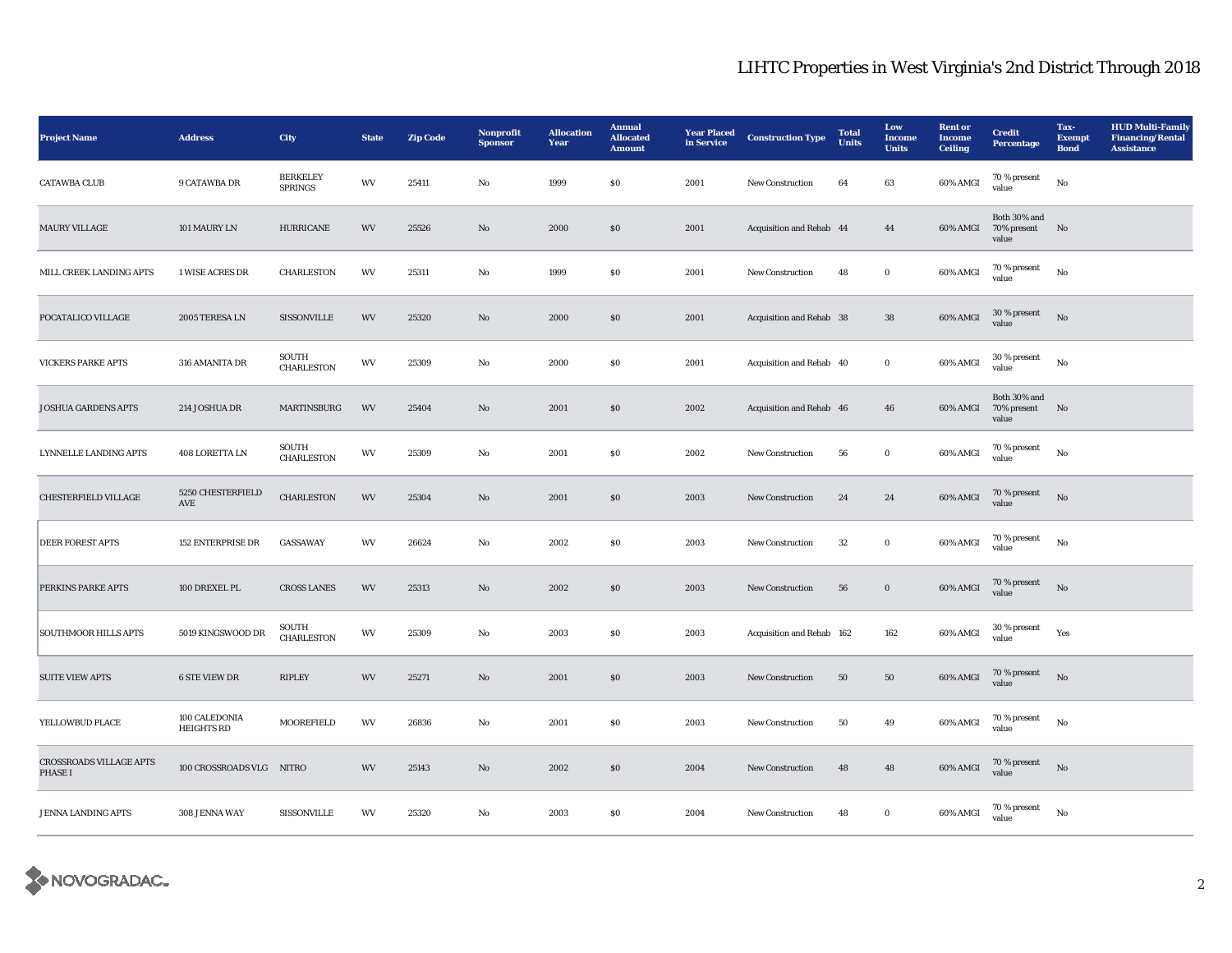| <b>Project Name</b>                              | <b>Address</b>                     | City                              | <b>State</b> | <b>Zip Code</b> | Nonprofit<br><b>Sponsor</b> | <b>Allocation</b><br>Year | <b>Annual</b><br><b>Allocated</b><br><b>Amount</b> | <b>Year Placed</b><br>in Service | <b>Construction Type</b>  | <b>Total</b><br><b>Units</b> | Low<br><b>Income</b><br><b>Units</b> | <b>Rent</b> or<br><b>Income</b><br><b>Ceiling</b> | <b>Credit</b><br><b>Percentage</b>               | Tax-<br><b>Exempt</b><br><b>Bond</b> | <b>HUD Multi-Family</b><br><b>Financing/Rental</b><br><b>Assistance</b> |
|--------------------------------------------------|------------------------------------|-----------------------------------|--------------|-----------------|-----------------------------|---------------------------|----------------------------------------------------|----------------------------------|---------------------------|------------------------------|--------------------------------------|---------------------------------------------------|--------------------------------------------------|--------------------------------------|-------------------------------------------------------------------------|
| <b>CATAWBA CLUB</b>                              | 9 CATAWBA DR                       | <b>BERKELEY</b><br><b>SPRINGS</b> | WV           | 25411           | $\mathbf{No}$               | 1999                      | \$0\$                                              | 2001                             | New Construction          | 64                           | 63                                   | 60% AMGI                                          | 70 % present<br>value                            | No                                   |                                                                         |
| <b>MAURY VILLAGE</b>                             | 101 MAURY LN                       | <b>HURRICANE</b>                  | WV           | 25526           | $\mathbf{N}\mathbf{o}$      | 2000                      | \$0\$                                              | 2001                             | Acquisition and Rehab 44  |                              | 44                                   | 60% AMGI                                          | Both 30% and<br>70% present<br>value             | No                                   |                                                                         |
| MILL CREEK LANDING APTS                          | <b>1 WISE ACRES DR</b>             | <b>CHARLESTON</b>                 | WV           | 25311           | No                          | 1999                      | <b>SO</b>                                          | 2001                             | <b>New Construction</b>   | 48                           | $\bf{0}$                             | 60% AMGI                                          | 70 % present<br>value                            | No                                   |                                                                         |
| POCATALICO VILLAGE                               | 2005 TERESA LN                     | <b>SISSONVILLE</b>                | WV           | 25320           | $\rm No$                    | 2000                      | \$0\$                                              | 2001                             | Acquisition and Rehab 38  |                              | ${\bf 38}$                           | 60% AMGI                                          | $30\,\%$ present<br>value                        | No                                   |                                                                         |
| <b>VICKERS PARKE APTS</b>                        | 316 AMANITA DR                     | SOUTH<br>CHARLESTON               | WV           | 25309           | No                          | 2000                      | $\$0$                                              | 2001                             | Acquisition and Rehab 40  |                              | $\bf{0}$                             | 60% AMGI                                          | 30 % present<br>value                            | $_{\rm No}$                          |                                                                         |
| <b>JOSHUA GARDENS APTS</b>                       | 214 JOSHUA DR                      | MARTINSBURG                       | WV           | 25404           | No                          | 2001                      | $\$0$                                              | 2002                             | Acquisition and Rehab 46  |                              | 46                                   |                                                   | Both 30% and<br>60% AMGI 70% present No<br>value |                                      |                                                                         |
| LYNNELLE LANDING APTS                            | $408$ LORETTA LN                   | SOUTH<br><b>CHARLESTON</b>        | WV           | 25309           | $\rm No$                    | 2001                      | ${\bf S0}$                                         | 2002                             | New Construction          | ${\bf 56}$                   | $\mathbf 0$                          | 60% AMGI                                          | $70$ % present value                             | No                                   |                                                                         |
| CHESTERFIELD VILLAGE                             | 5250 CHESTERFIELD<br>AVE           | <b>CHARLESTON</b>                 | WV           | 25304           | $\mathbf{N}\mathbf{o}$      | 2001                      | \$0\$                                              | 2003                             | New Construction          | 24                           | 24                                   | $60\%$ AMGI                                       | 70 % present<br>value                            | $\rm \bf No$                         |                                                                         |
| <b>DEER FOREST APTS</b>                          | <b>152 ENTERPRISE DR</b>           | <b>GASSAWAY</b>                   | WV           | 26624           | $\mathbf {No}$              | 2002                      | ${\bf S0}$                                         | 2003                             | New Construction          | $32\,$                       | $\mathbf 0$                          | 60% AMGI                                          | 70 % present<br>value                            | $_{\rm No}$                          |                                                                         |
| PERKINS PARKE APTS                               | 100 DREXEL PL                      | <b>CROSS LANES</b>                | WV           | 25313           | $\mathbf{N}\mathbf{o}$      | 2002                      | $\boldsymbol{\mathsf{S}}\boldsymbol{\mathsf{O}}$   | 2003                             | New Construction          | 56                           | $\boldsymbol{0}$                     | 60% AMGI                                          | $70\,\%$ present<br>value                        | No                                   |                                                                         |
| <b>SOUTHMOOR HILLS APTS</b>                      | 5019 KINGSWOOD DR                  | SOUTH<br><b>CHARLESTON</b>        | WV           | 25309           | No                          | 2003                      | $\$0$                                              | 2003                             | Acquisition and Rehab 162 |                              | 162                                  | 60% AMGI                                          | 30 % present<br>value                            | Yes                                  |                                                                         |
| <b>SUITE VIEW APTS</b>                           | <b>6 STE VIEW DR</b>               | <b>RIPLEY</b>                     | WV           | 25271           | $\mathbf{N}\mathbf{o}$      | 2001                      | \$0\$                                              | 2003                             | <b>New Construction</b>   | 50                           | 50                                   | 60% AMGI                                          | 70 % present<br>value                            | No                                   |                                                                         |
| YELLOWBUD PLACE                                  | 100 CALEDONIA<br><b>HEIGHTS RD</b> | MOOREFIELD                        | WV           | 26836           | No                          | 2001                      | \$0\$                                              | 2003                             | New Construction          | 50                           | 49                                   | 60% AMGI                                          | $70$ % present<br>value                          | No                                   |                                                                         |
| <b>CROSSROADS VILLAGE APTS</b><br><b>PHASE I</b> | 100 CROSSROADS VLG NITRO           |                                   | WV           | 25143           | No                          | 2002                      | \$0\$                                              | 2004                             | <b>New Construction</b>   | 48                           | 48                                   | 60% AMGI                                          | 70 % present<br>value                            | $\rm \bf No$                         |                                                                         |
| <b>JENNA LANDING APTS</b>                        | 308 JENNA WAY                      | <b>SISSONVILLE</b>                | WV           | 25320           | No                          | 2003                      | \$0\$                                              | 2004                             | <b>New Construction</b>   | 48                           | $\bf{0}$                             | 60% AMGI                                          | $70$ % present<br>value                          | No                                   |                                                                         |

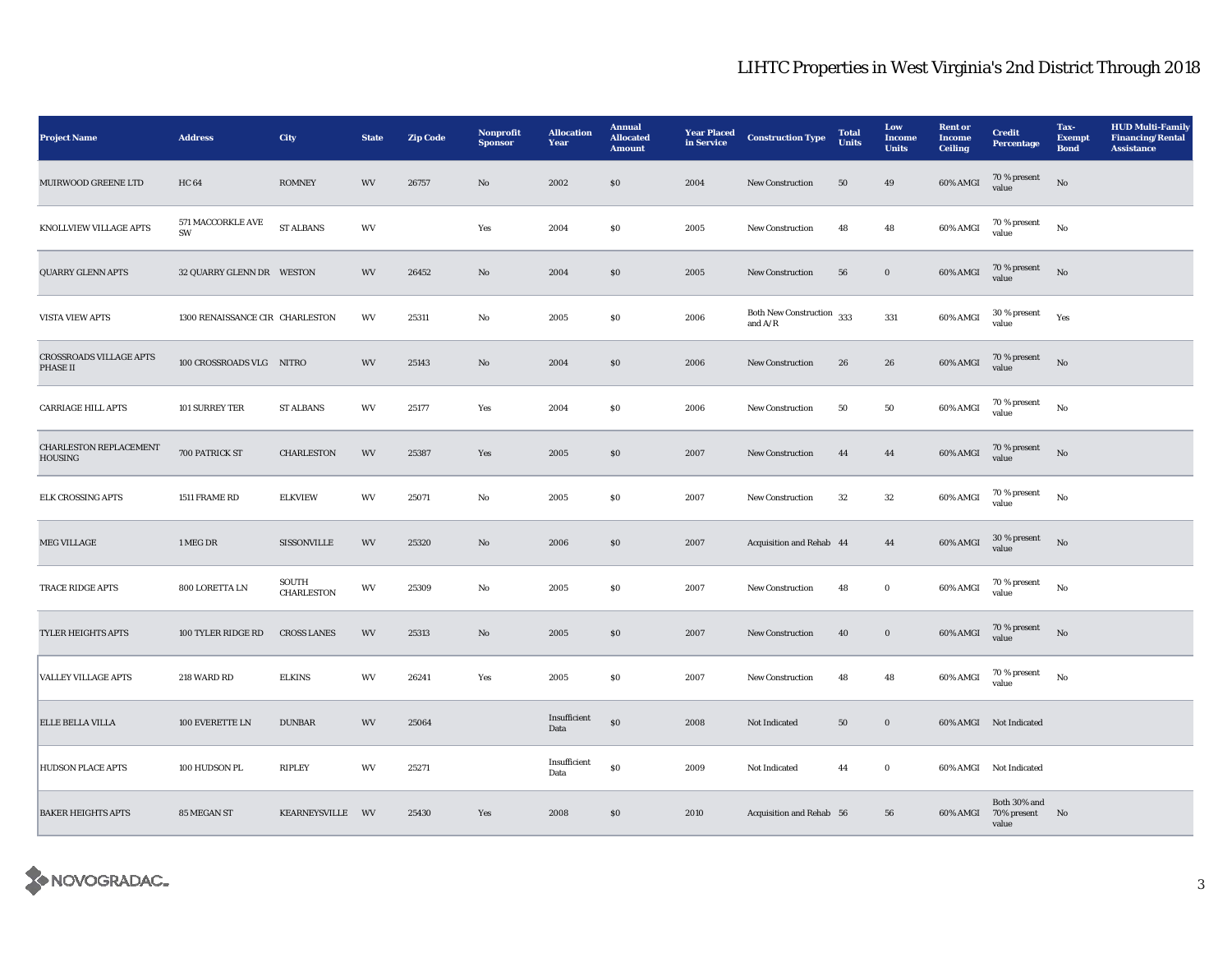| <b>Project Name</b>                      | <b>Address</b>                  | City                | <b>State</b> | <b>Zip Code</b> | <b>Nonprofit</b><br><b>Sponsor</b> | <b>Allocation</b><br>Year | <b>Annual</b><br><b>Allocated</b><br><b>Amount</b> | <b>Year Placed</b><br>in Service | <b>Construction Type</b>                    | <b>Total</b><br>Units | Low<br>Income<br><b>Units</b> | <b>Rent or</b><br><b>Income</b><br><b>Ceiling</b> | <b>Credit</b><br>Percentage                      | Tax-<br><b>Exempt</b><br><b>Bond</b> | <b>HUD Multi-Family</b><br><b>Financing/Rental</b><br><b>Assistance</b> |
|------------------------------------------|---------------------------------|---------------------|--------------|-----------------|------------------------------------|---------------------------|----------------------------------------------------|----------------------------------|---------------------------------------------|-----------------------|-------------------------------|---------------------------------------------------|--------------------------------------------------|--------------------------------------|-------------------------------------------------------------------------|
| MUIRWOOD GREENE LTD                      | <b>HC64</b>                     | <b>ROMNEY</b>       | WV           | 26757           | No                                 | 2002                      | \$0\$                                              | 2004                             | New Construction                            | 50                    | 49                            | 60% AMGI                                          | $70\,\%$ present<br>value                        | No                                   |                                                                         |
| KNOLLVIEW VILLAGE APTS                   | 571 MACCORKLE AVE<br>SW         | ST ALBANS           | WV           |                 | Yes                                | 2004                      | $\$0$                                              | 2005                             | New Construction                            | 48                    | 48                            | 60% AMGI                                          | $70\,\%$ present<br>value                        | $_{\rm No}$                          |                                                                         |
| <b>QUARRY GLENN APTS</b>                 | 32 QUARRY GLENN DR WESTON       |                     | WV           | 26452           | No                                 | 2004                      | \$0\$                                              | 2005                             | <b>New Construction</b>                     | 56                    | $\boldsymbol{0}$              | 60% AMGI                                          | 70 % present<br>value                            | No                                   |                                                                         |
| <b>VISTA VIEW APTS</b>                   | 1300 RENAISSANCE CIR CHARLESTON |                     | WV           | 25311           | No                                 | 2005                      | \$0\$                                              | 2006                             | Both New Construction $\,$ 333<br>and $A/R$ |                       | 331                           | 60% AMGI                                          | $30$ % present value                             | Yes                                  |                                                                         |
| CROSSROADS VILLAGE APTS<br>PHASE II      | 100 CROSSROADS VLG NITRO        |                     | WV           | 25143           | $\mathbf{N}\mathbf{o}$             | 2004                      | \$0\$                                              | 2006                             | New Construction                            | 26                    | 26                            | 60% AMGI                                          | 70 % present<br>value                            | $_{\rm No}$                          |                                                                         |
| <b>CARRIAGE HILL APTS</b>                | 101 SURREY TER                  | <b>ST ALBANS</b>    | WV           | 25177           | Yes                                | 2004                      | ${\bf S0}$                                         | 2006                             | New Construction                            | 50                    | 50                            | 60% AMGI                                          | 70 % present<br>value                            | $_{\rm No}$                          |                                                                         |
| <b>CHARLESTON REPLACEMENT</b><br>HOUSING | 700 PATRICK ST                  | <b>CHARLESTON</b>   | WV           | 25387           | Yes                                | 2005                      | $\boldsymbol{\mathsf{S}}\boldsymbol{\mathsf{O}}$   | 2007                             | New Construction                            | 44                    | 44                            | 60% AMGI                                          | $70\,\%$ present<br>value                        | No                                   |                                                                         |
| <b>ELK CROSSING APTS</b>                 | 1511 FRAME RD                   | <b>ELKVIEW</b>      | WV           | 25071           | No                                 | 2005                      | $\$0$                                              | 2007                             | New Construction                            | 32                    | $32\,$                        | 60% AMGI                                          | 70 % present<br>value                            | $_{\rm No}$                          |                                                                         |
| <b>MEG VILLAGE</b>                       | 1 MEG DR                        | SISSONVILLE         | WV           | 25320           | No                                 | 2006                      | $\$0$                                              | 2007                             | Acquisition and Rehab 44                    |                       | 44                            | 60% AMGI                                          | $30$ % present<br>value                          | No                                   |                                                                         |
| TRACE RIDGE APTS                         | 800 LORETTA LN                  | SOUTH<br>CHARLESTON | WV           | 25309           | No                                 | 2005                      | $\$0$                                              | 2007                             | New Construction                            | 48                    | $\bf{0}$                      | 60% AMGI                                          | 70 % present<br>value                            | No                                   |                                                                         |
| TYLER HEIGHTS APTS                       | 100 TYLER RIDGE RD              | <b>CROSS LANES</b>  | WV           | 25313           | $\mathbf{N}\mathbf{o}$             | 2005                      | \$0                                                | 2007                             | New Construction                            | 40                    | $\boldsymbol{0}$              | 60% AMGI                                          | 70 % present<br>value                            | $_{\rm No}$                          |                                                                         |
| <b>VALLEY VILLAGE APTS</b>               | 218 WARD RD                     | <b>ELKINS</b>       | WV           | 26241           | Yes                                | 2005                      | $\$0$                                              | 2007                             | New Construction                            | 48                    | 48                            | 60% AMGI                                          | 70 % present<br>value                            | No                                   |                                                                         |
| <b>ELLE BELLA VILLA</b>                  | 100 EVERETTE LN                 | <b>DUNBAR</b>       | WV           | 25064           |                                    | Insufficient<br>Data      | $\boldsymbol{\mathsf{S}}\boldsymbol{\mathsf{O}}$   | 2008                             | Not Indicated                               | 50                    | $\boldsymbol{0}$              |                                                   | 60% AMGI Not Indicated                           |                                      |                                                                         |
| <b>HUDSON PLACE APTS</b>                 | 100 HUDSON PL                   | RIPLEY              | WV           | 25271           |                                    | Insufficient<br>Data      | $\$0$                                              | 2009                             | Not Indicated                               | 44                    | $\bf{0}$                      |                                                   | 60% AMGI Not Indicated                           |                                      |                                                                         |
| <b>BAKER HEIGHTS APTS</b>                | 85 MEGAN ST                     | KEARNEYSVILLE WV    |              | 25430           | Yes                                | 2008                      | \$0\$                                              | 2010                             | Acquisition and Rehab 56                    |                       | 56                            |                                                   | Both 30% and<br>60% AMGI 70% present No<br>value |                                      |                                                                         |

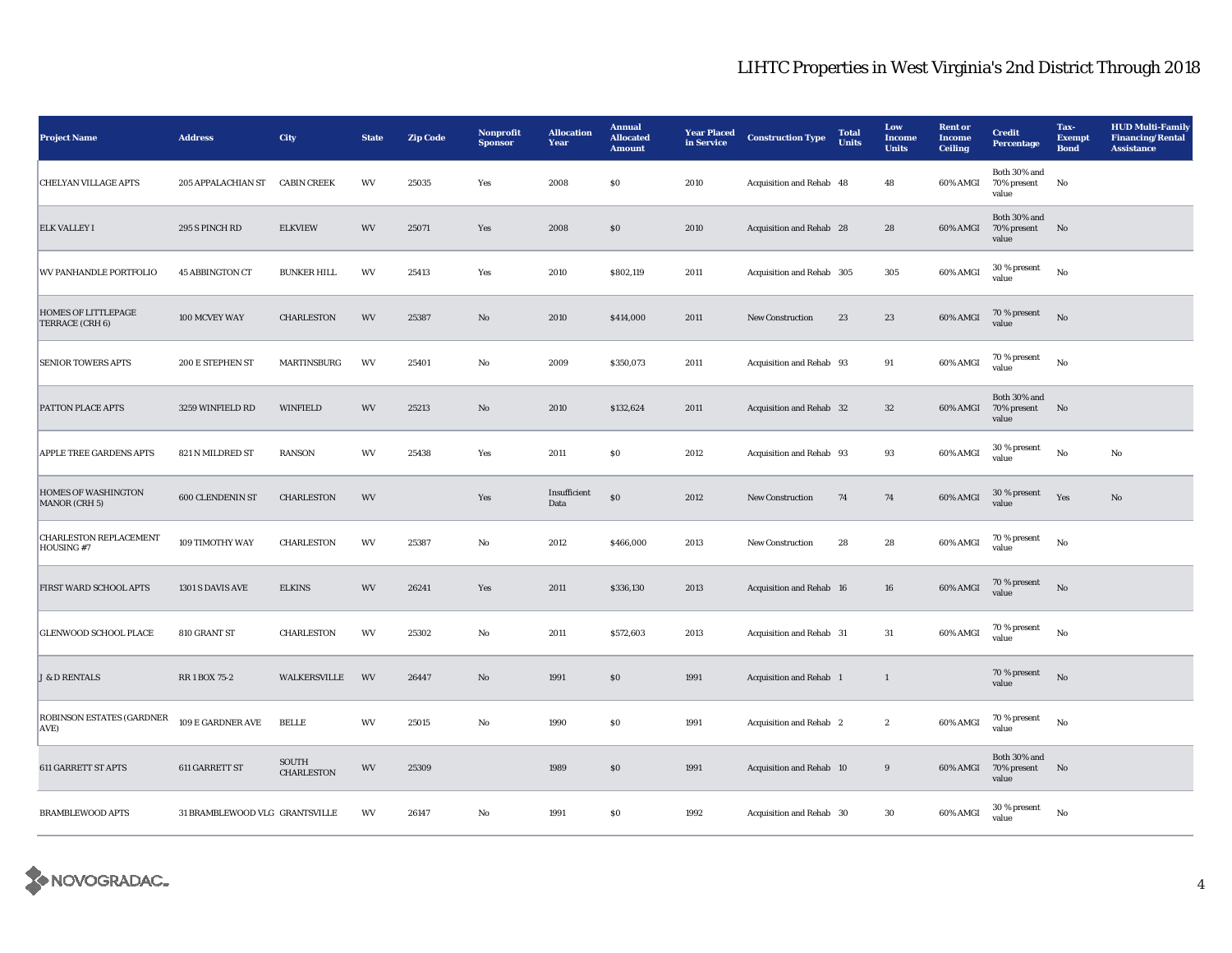| <b>Project Name</b>                           | <b>Address</b>                 | City                       | <b>State</b> | <b>Zip Code</b> | Nonprofit<br><b>Sponsor</b> | <b>Allocation</b><br>Year | <b>Annual</b><br><b>Allocated</b><br><b>Amount</b> | <b>Year Placed</b><br>in Service | <b>Construction Type</b>  | <b>Total</b><br>Units | Low<br><b>Income</b><br><b>Units</b> | <b>Rent or</b><br><b>Income</b><br>Ceiling | <b>Credit</b><br>Percentage          | Tax-<br><b>Exempt</b><br><b>Bond</b> | <b>HUD Multi-Family</b><br><b>Financing/Rental</b><br><b>Assistance</b> |
|-----------------------------------------------|--------------------------------|----------------------------|--------------|-----------------|-----------------------------|---------------------------|----------------------------------------------------|----------------------------------|---------------------------|-----------------------|--------------------------------------|--------------------------------------------|--------------------------------------|--------------------------------------|-------------------------------------------------------------------------|
| <b>CHELYAN VILLAGE APTS</b>                   | 205 APPALACHIAN ST             | <b>CABIN CREEK</b>         | WV           | 25035           | Yes                         | 2008                      | $\$0$                                              | 2010                             | Acquisition and Rehab 48  |                       | 48                                   | 60% AMGI                                   | Both 30% and<br>70% present<br>value | No                                   |                                                                         |
| <b>ELK VALLEY I</b>                           | 295 S PINCH RD                 | <b>ELKVIEW</b>             | <b>WV</b>    | 25071           | Yes                         | 2008                      | \$0                                                | 2010                             | Acquisition and Rehab 28  |                       | 28                                   | 60% AMGI                                   | Both 30% and<br>70% present<br>value | No                                   |                                                                         |
| WV PANHANDLE PORTFOLIO                        | <b>45 ABBINGTON CT</b>         | <b>BUNKER HILL</b>         | WV           | 25413           | Yes                         | 2010                      | \$802,119                                          | 2011                             | Acquisition and Rehab 305 |                       | 305                                  | 60% AMGI                                   | 30 % present<br>value                | No                                   |                                                                         |
| <b>HOMES OF LITTLEPAGE</b><br>TERRACE (CRH 6) | 100 MCVEY WAY                  | <b>CHARLESTON</b>          | WV           | 25387           | $\mathbf{N}\mathbf{o}$      | 2010                      | \$414,000                                          | 2011                             | <b>New Construction</b>   | 23                    | 23                                   | 60% AMGI                                   | $70\,\%$ present<br>value            | No                                   |                                                                         |
| <b>SENIOR TOWERS APTS</b>                     | 200 E STEPHEN ST               | MARTINSBURG                | WV           | 25401           | No                          | 2009                      | \$350,073                                          | 2011                             | Acquisition and Rehab 93  |                       | 91                                   | 60% AMGI                                   | $70$ % present<br>value              | No                                   |                                                                         |
| PATTON PLACE APTS                             | 3259 WINFIELD RD               | <b>WINFIELD</b>            | WV           | 25213           | $\mathbf{N}\mathbf{o}$      | 2010                      | \$132,624                                          | 2011                             | Acquisition and Rehab 32  |                       | $32\,$                               | $60\%$ AMGI                                | Both 30% and<br>70% present<br>value | No                                   |                                                                         |
| <b>APPLE TREE GARDENS APTS</b>                | 821 N MILDRED ST               | <b>RANSON</b>              | WV           | 25438           | Yes                         | 2011                      | \$0                                                | 2012                             | Acquisition and Rehab 93  |                       | 93                                   | 60% AMGI                                   | 30 % present<br>value                | No                                   | No                                                                      |
| <b>HOMES OF WASHINGTON</b><br>MANOR (CRH 5)   | 600 CLENDENIN ST               | <b>CHARLESTON</b>          | WV           |                 | Yes                         | Insufficient<br>Data      | $\$0$                                              | 2012                             | New Construction          | 74                    | 74                                   | 60% AMGI                                   | 30 % present<br>value                | Yes                                  | $\mathbf{No}$                                                           |
| <b>CHARLESTON REPLACEMENT</b><br>HOUSING #7   | 109 TIMOTHY WAY                | <b>CHARLESTON</b>          | WV           | 25387           | $\rm No$                    | 2012                      | \$466,000                                          | 2013                             | New Construction          | 28                    | 28                                   | 60% AMGI                                   | 70 % present<br>value                | $_{\rm No}$                          |                                                                         |
| FIRST WARD SCHOOL APTS                        | 1301 S DAVIS AVE               | <b>ELKINS</b>              | WV           | 26241           | Yes                         | 2011                      | \$336,130                                          | 2013                             | Acquisition and Rehab 16  |                       | 16                                   | 60% AMGI                                   | 70 % present<br>value                | No                                   |                                                                         |
| <b>GLENWOOD SCHOOL PLACE</b>                  | 810 GRANT ST                   | <b>CHARLESTON</b>          | WV           | 25302           | No                          | 2011                      | \$572,603                                          | 2013                             | Acquisition and Rehab 31  |                       | 31                                   | 60% AMGI                                   | 70 % present<br>value                | $_{\rm No}$                          |                                                                         |
| <b>J &amp; D RENTALS</b>                      | RR 1 BOX 75-2                  | WALKERSVILLE               | WV           | 26447           | No                          | 1991                      | \$0                                                | 1991                             | Acquisition and Rehab 1   |                       | $\mathbf{1}$                         |                                            | 70 % present<br>value                | $\mathbf{N}\mathbf{o}$               |                                                                         |
| ROBINSON ESTATES (GARDNER<br>AVE)             | 109 E GARDNER AVE              | <b>BELLE</b>               | WV           | 25015           | No                          | 1990                      | $\$0$                                              | 1991                             | Acquisition and Rehab 2   |                       | $\boldsymbol{2}$                     | 60% AMGI                                   | 70 % present<br>value                | $_{\rm No}$                          |                                                                         |
| <b>611 GARRETT ST APTS</b>                    | 611 GARRETT ST                 | SOUTH<br><b>CHARLESTON</b> | WV           | 25309           |                             | 1989                      | \$0                                                | 1991                             | Acquisition and Rehab 10  |                       | $9\,$                                | 60% AMGI                                   | Both 30% and<br>70% present<br>value | No                                   |                                                                         |
| <b>BRAMBLEWOOD APTS</b>                       | 31 BRAMBLEWOOD VLG GRANTSVILLE |                            | WV           | 26147           | No                          | 1991                      | \$0                                                | 1992                             | Acquisition and Rehab 30  |                       | 30                                   | 60% AMGI                                   | 30 % present<br>value                | $_{\rm No}$                          |                                                                         |

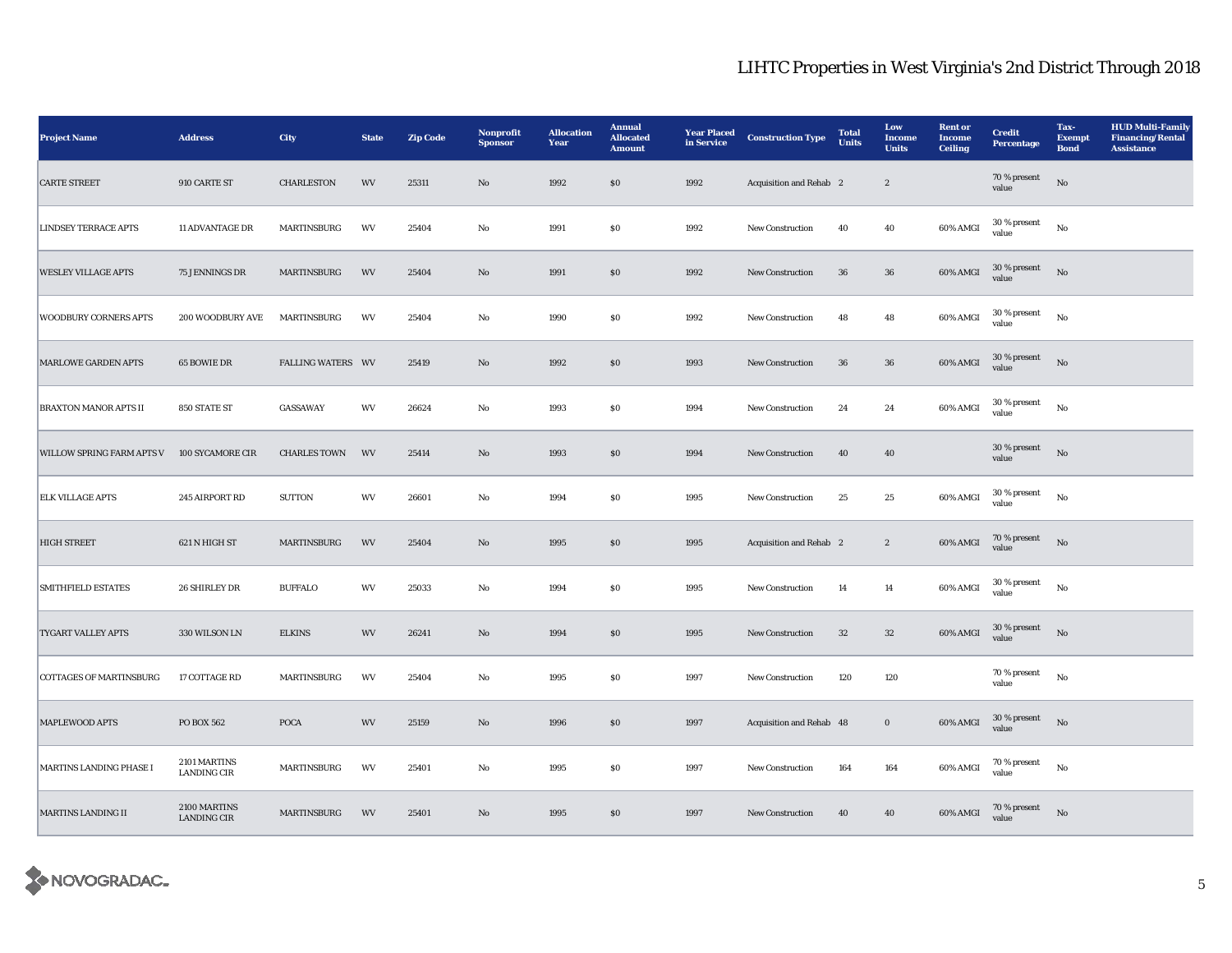| <b>Project Name</b>            | <b>Address</b>                     | City                     | <b>State</b> | <b>Zip Code</b> | Nonprofit<br><b>Sponsor</b> | <b>Allocation</b><br>Year | <b>Annual</b><br><b>Allocated</b><br><b>Amount</b> | <b>Year Placed</b><br>in Service | <b>Construction Type</b> | <b>Total</b><br>Units | Low<br><b>Income</b><br><b>Units</b> | <b>Rent or</b><br><b>Income</b><br><b>Ceiling</b> | <b>Credit</b><br><b>Percentage</b> | Tax-<br><b>Exempt</b><br><b>Bond</b> | <b>HUD Multi-Family</b><br><b>Financing/Rental</b><br><b>Assistance</b> |
|--------------------------------|------------------------------------|--------------------------|--------------|-----------------|-----------------------------|---------------------------|----------------------------------------------------|----------------------------------|--------------------------|-----------------------|--------------------------------------|---------------------------------------------------|------------------------------------|--------------------------------------|-------------------------------------------------------------------------|
| <b>CARTE STREET</b>            | 910 CARTE ST                       | <b>CHARLESTON</b>        | <b>WV</b>    | 25311           | $\mathbf{No}$               | 1992                      | $\$0$                                              | 1992                             | Acquisition and Rehab 2  |                       | $\boldsymbol{2}$                     |                                                   | 70 % present<br>value              | $_{\rm No}$                          |                                                                         |
| <b>LINDSEY TERRACE APTS</b>    | <b>11 ADVANTAGE DR</b>             | MARTINSBURG              | WV           | 25404           | No                          | 1991                      | $\$0$                                              | 1992                             | New Construction         | 40                    | 40                                   | 60% AMGI                                          | 30 % present<br>value              | $_{\rm No}$                          |                                                                         |
| <b>WESLEY VILLAGE APTS</b>     | 75 JENNINGS DR                     | MARTINSBURG              | WV           | 25404           | $\mathbf{No}$               | 1991                      | $\$0$                                              | 1992                             | New Construction         | 36                    | 36                                   | 60% AMGI                                          | $30$ % present<br>value            | $_{\rm No}$                          |                                                                         |
| <b>WOODBURY CORNERS APTS</b>   | 200 WOODBURY AVE                   | MARTINSBURG              | WV           | 25404           | $\rm No$                    | 1990                      | $\$0$                                              | 1992                             | New Construction         | 48                    | 48                                   | 60% AMGI                                          | 30 % present<br>value              | $_{\rm No}$                          |                                                                         |
| <b>MARLOWE GARDEN APTS</b>     | 65 BOWIE DR                        | <b>FALLING WATERS WV</b> |              | 25419           | $\rm No$                    | 1992                      | $\$0$                                              | 1993                             | New Construction         | $36\,$                | ${\bf 36}$                           | 60% AMGI                                          | 30 % present<br>value              | No                                   |                                                                         |
| <b>BRAXTON MANOR APTS II</b>   | 850 STATE ST                       | GASSAWAY                 | WV           | 26624           | No                          | 1993                      | $\$0$                                              | 1994                             | New Construction         | 24                    | 24                                   | 60% AMGI                                          | 30 % present<br>value              | $_{\rm No}$                          |                                                                         |
| WILLOW SPRING FARM APTS V      | 100 SYCAMORE CIR                   | <b>CHARLES TOWN</b>      | WV           | 25414           | $\mathbf{N}\mathbf{o}$      | 1993                      | \$0                                                | 1994                             | New Construction         | 40                    | 40                                   |                                                   | 30 % present<br>value              | $_{\rm No}$                          |                                                                         |
| <b>ELK VILLAGE APTS</b>        | 245 AIRPORT RD                     | <b>SUTTON</b>            | WV           | 26601           | No                          | 1994                      | $\$0$                                              | 1995                             | New Construction         | 25                    | $\bf 25$                             | 60% AMGI                                          | 30 % present<br>value              | $_{\rm No}$                          |                                                                         |
| <b>HIGH STREET</b>             | 621 N HIGH ST                      | MARTINSBURG              | WV           | 25404           | $\mathbf{N}\mathbf{o}$      | 1995                      | $\$0$                                              | 1995                             | Acquisition and Rehab 2  |                       | $\boldsymbol{2}$                     | 60% AMGI                                          | 70 % present<br>value              | $_{\rm No}$                          |                                                                         |
| <b>SMITHFIELD ESTATES</b>      | 26 SHIRLEY DR                      | <b>BUFFALO</b>           | WV           | 25033           | No                          | 1994                      | $\$0$                                              | 1995                             | New Construction         | 14                    | 14                                   | 60% AMGI                                          | $30$ % present<br>value            | $_{\rm No}$                          |                                                                         |
| TYGART VALLEY APTS             | 330 WILSON LN                      | <b>ELKINS</b>            | WV           | 26241           | $\mathbf{N}\mathbf{o}$      | 1994                      | \$0                                                | 1995                             | New Construction         | 32                    | 32                                   | 60% AMGI                                          | 30 % present<br>value              | $_{\rm No}$                          |                                                                         |
| <b>COTTAGES OF MARTINSBURG</b> | 17 COTTAGE RD                      | MARTINSBURG              | WV           | 25404           | No                          | 1995                      | $\$0$                                              | 1997                             | New Construction         | 120                   | 120                                  |                                                   | 70 % present<br>value              | $_{\rm No}$                          |                                                                         |
| MAPLEWOOD APTS                 | PO BOX 562                         | $\mathbf{POCA}$          | <b>WV</b>    | 25159           | $\rm No$                    | 1996                      | $\$0$                                              | 1997                             | Acquisition and Rehab 48 |                       | $\mathbf 0$                          | $60\%$ AMGI                                       | $30\,\%$ present<br>value          | $\rm No$                             |                                                                         |
| MARTINS LANDING PHASE I        | 2101 MARTINS<br><b>LANDING CIR</b> | MARTINSBURG              | WV           | 25401           | $_{\rm No}$                 | 1995                      | $\$0$                                              | 1997                             | New Construction         | 164                   | 164                                  | 60% AMGI                                          | $70$ % present<br>value            | $_{\rm No}$                          |                                                                         |
| <b>MARTINS LANDING II</b>      | 2100 MARTINS<br><b>LANDING CIR</b> | MARTINSBURG              | WV           | 25401           | $\mathbf{N}\mathbf{o}$      | 1995                      | $\$0$                                              | 1997                             | New Construction         | 40                    | 40                                   | 60% AMGI                                          | 70 % present<br>value              | No                                   |                                                                         |

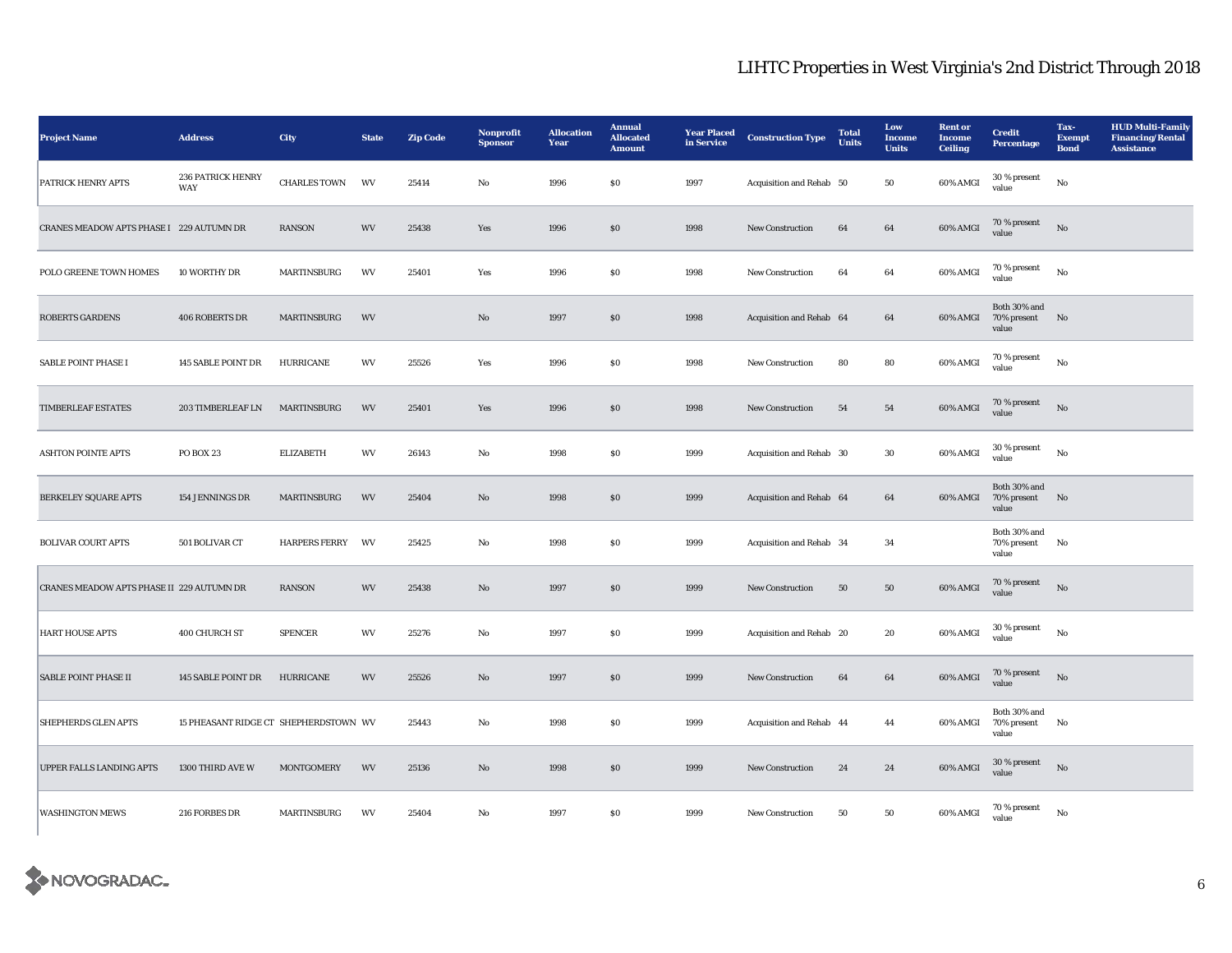| <b>Project Name</b>                       | <b>Address</b>                        | City                 | <b>State</b> | <b>Zip Code</b> | Nonprofit<br><b>Sponsor</b> | <b>Allocation</b><br>Year | <b>Annual</b><br><b>Allocated</b><br><b>Amount</b> | <b>Year Placed</b><br>in Service | <b>Construction Type</b> | <b>Total</b><br>Units | Low<br><b>Income</b><br><b>Units</b> | <b>Rent</b> or<br><b>Income</b><br><b>Ceiling</b> | <b>Credit</b><br>Percentage             | Tax-<br><b>Exempt</b><br><b>Bond</b> | <b>HUD Multi-Family</b><br><b>Financing/Rental</b><br><b>Assistance</b> |
|-------------------------------------------|---------------------------------------|----------------------|--------------|-----------------|-----------------------------|---------------------------|----------------------------------------------------|----------------------------------|--------------------------|-----------------------|--------------------------------------|---------------------------------------------------|-----------------------------------------|--------------------------------------|-------------------------------------------------------------------------|
| PATRICK HENRY APTS                        | <b>236 PATRICK HENRY</b><br>WAY       | <b>CHARLES TOWN</b>  | WV           | 25414           | No                          | 1996                      | $\$0$                                              | 1997                             | Acquisition and Rehab 50 |                       | 50                                   | 60% AMGI                                          | 30 % present<br>value                   | $_{\rm No}$                          |                                                                         |
| CRANES MEADOW APTS PHASE I 229 AUTUMN DR  |                                       | <b>RANSON</b>        | WV           | 25438           | Yes                         | 1996                      | $\$0$                                              | 1998                             | <b>New Construction</b>  | 64                    | 64                                   | 60% AMGI                                          | 70 % present<br>value                   | $\rm \bf No$                         |                                                                         |
| POLO GREENE TOWN HOMES                    | 10 WORTHY DR                          | <b>MARTINSBURG</b>   | WV           | 25401           | Yes                         | 1996                      | $\$0$                                              | 1998                             | New Construction         | 64                    | 64                                   | 60% AMGI                                          | $70$ % present<br>value                 | No                                   |                                                                         |
| <b>ROBERTS GARDENS</b>                    | <b>406 ROBERTS DR</b>                 | MARTINSBURG          | WV           |                 | $\mathbf{N}\mathbf{o}$      | 1997                      | ${\bf S0}$                                         | 1998                             | Acquisition and Rehab 64 |                       | 64                                   | 60% AMGI                                          | Both 30% and<br>70% present No<br>value |                                      |                                                                         |
| SABLE POINT PHASE I                       | 145 SABLE POINT DR                    | <b>HURRICANE</b>     | WV           | 25526           | Yes                         | 1996                      | ${\bf S0}$                                         | 1998                             | New Construction         | 80                    | 80                                   | 60% AMGI                                          | 70 % present<br>value                   | $_{\rm No}$                          |                                                                         |
| <b>TIMBERLEAF ESTATES</b>                 | 203 TIMBERLEAF LN                     | <b>MARTINSBURG</b>   | WV           | 25401           | Yes                         | 1996                      | $\$0$                                              | 1998                             | New Construction         | 54                    | 54                                   | 60% AMGI                                          | $70\,\%$ present<br>value               | $\rm \bf No$                         |                                                                         |
| <b>ASHTON POINTE APTS</b>                 | PO BOX 23                             | <b>ELIZABETH</b>     | WV           | 26143           | No                          | 1998                      | \$0\$                                              | 1999                             | Acquisition and Rehab 30 |                       | $30\,$                               | 60% AMGI                                          | 30 % present<br>value                   | No                                   |                                                                         |
| <b>BERKELEY SQUARE APTS</b>               | 154 JENNINGS DR                       | MARTINSBURG          | WV           | 25404           | No                          | 1998                      | \$0                                                | 1999                             | Acquisition and Rehab 64 |                       | 64                                   | 60% AMGI                                          | Both 30% and<br>70% present No<br>value |                                      |                                                                         |
| <b>BOLIVAR COURT APTS</b>                 | 501 BOLIVAR CT                        | <b>HARPERS FERRY</b> | WV           | 25425           | No                          | 1998                      | \$0\$                                              | 1999                             | Acquisition and Rehab 34 |                       | 34                                   |                                                   | Both 30% and<br>70% present<br>value    | No                                   |                                                                         |
| CRANES MEADOW APTS PHASE II 229 AUTUMN DR |                                       | <b>RANSON</b>        | WV           | 25438           | No                          | 1997                      | \$0\$                                              | 1999                             | <b>New Construction</b>  | 50                    | 50                                   | 60% AMGI                                          | 70 % present<br>value                   | $_{\rm No}$                          |                                                                         |
| <b>HART HOUSE APTS</b>                    | 400 CHURCH ST                         | <b>SPENCER</b>       | WV           | 25276           | $\mathbf{No}$               | 1997                      | $\$0$                                              | 1999                             | Acquisition and Rehab 20 |                       | 20                                   | 60% AMGI                                          | 30 % present<br>value                   | No                                   |                                                                         |
| <b>SABLE POINT PHASE II</b>               | 145 SABLE POINT DR                    | <b>HURRICANE</b>     | WV           | 25526           | No                          | 1997                      | \$0                                                | 1999                             | <b>New Construction</b>  | 64                    | 64                                   | 60% AMGI                                          | $70$ % present<br>value                 | No                                   |                                                                         |
| <b>SHEPHERDS GLEN APTS</b>                | 15 PHEASANT RIDGE CT SHEPHERDSTOWN WV |                      |              | 25443           | $_{\rm No}$                 | 1998                      | \$0\$                                              | 1999                             | Acquisition and Rehab 44 |                       | 44                                   | 60% AMGI                                          | Both 30% and<br>70% present<br>value    | No                                   |                                                                         |
| <b>UPPER FALLS LANDING APTS</b>           | 1300 THIRD AVE W                      | <b>MONTGOMERY</b>    | WV           | 25136           | No                          | 1998                      | \$0\$                                              | 1999                             | <b>New Construction</b>  | 24                    | 24                                   | 60% AMGI                                          | 30 % present<br>value                   | No                                   |                                                                         |
| <b>WASHINGTON MEWS</b>                    | 216 FORBES DR                         | MARTINSBURG          | WV           | 25404           | No                          | 1997                      | \$0\$                                              | 1999                             | <b>New Construction</b>  | 50                    | 50                                   | 60% AMGI                                          | $70$ % present<br>value                 | No                                   |                                                                         |

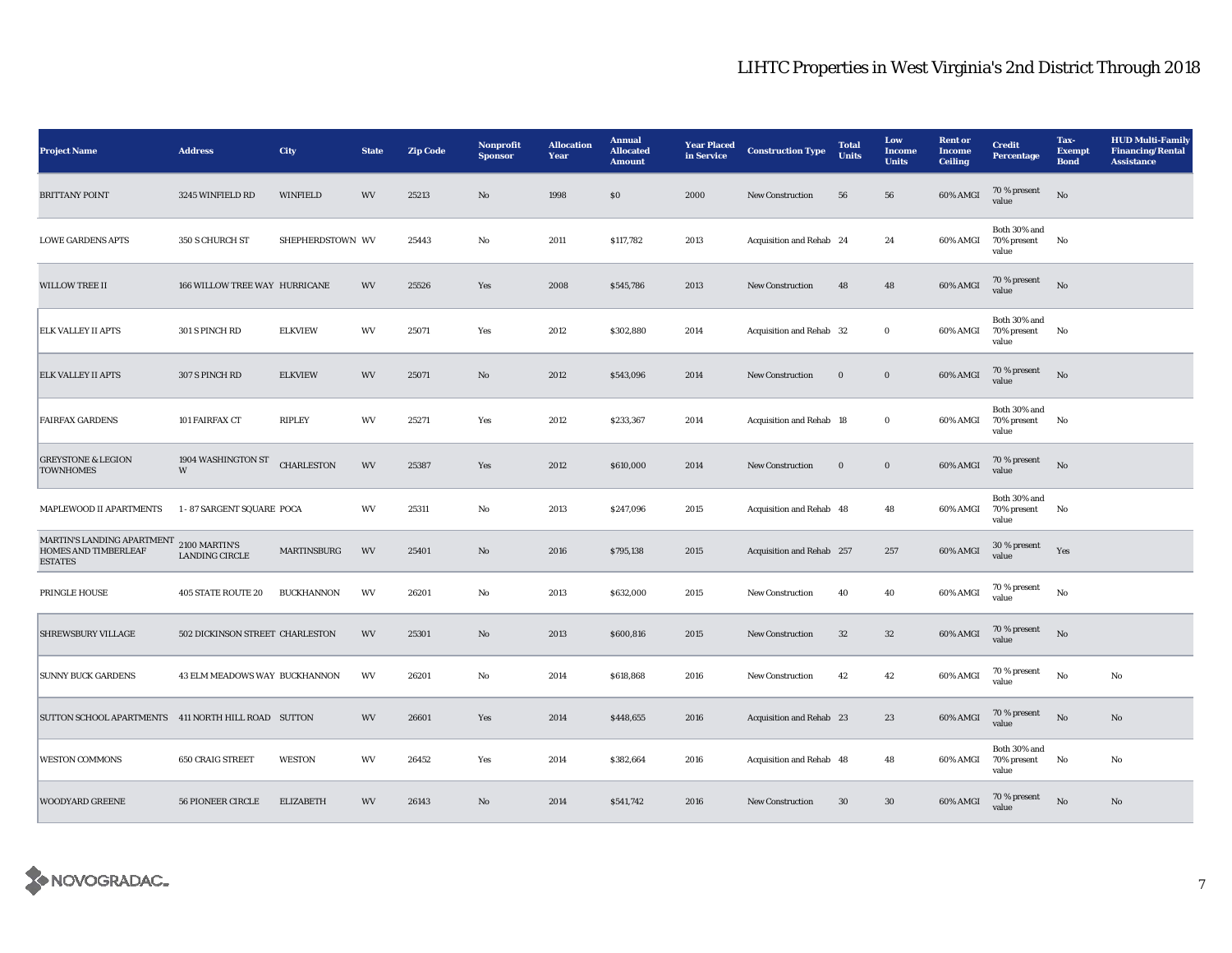| <b>Project Name</b>                                                                | <b>Address</b>                  | City              | <b>State</b> | <b>Zip Code</b> | Nonprofit<br><b>Sponsor</b> | <b>Allocation</b><br>Year | <b>Annual</b><br><b>Allocated</b><br><b>Amount</b> | <b>Year Placed</b><br>in Service | <b>Construction Type</b>  | <b>Total</b><br><b>Units</b> | Low<br><b>Income</b><br><b>Units</b> | <b>Rent or</b><br><b>Income</b><br><b>Ceiling</b> | <b>Credit</b><br>Percentage             | Tax-<br><b>Exempt</b><br><b>Bond</b> | <b>HUD Multi-Family</b><br><b>Financing/Rental</b><br><b>Assistance</b> |
|------------------------------------------------------------------------------------|---------------------------------|-------------------|--------------|-----------------|-----------------------------|---------------------------|----------------------------------------------------|----------------------------------|---------------------------|------------------------------|--------------------------------------|---------------------------------------------------|-----------------------------------------|--------------------------------------|-------------------------------------------------------------------------|
| <b>BRITTANY POINT</b>                                                              | 3245 WINFIELD RD                | <b>WINFIELD</b>   | WV           | 25213           | No                          | 1998                      | \$0\$                                              | 2000                             | <b>New Construction</b>   | 56                           | 56                                   | 60% AMGI                                          | 70 % present<br>value                   | No                                   |                                                                         |
| <b>LOWE GARDENS APTS</b>                                                           | 350 S CHURCH ST                 | SHEPHERDSTOWN WV  |              | 25443           | No                          | 2011                      | \$117,782                                          | 2013                             | Acquisition and Rehab 24  |                              | 24                                   | 60% AMGI                                          | Both 30% and<br>70% present<br>value    | No                                   |                                                                         |
| <b>WILLOW TREE II</b>                                                              | 166 WILLOW TREE WAY HURRICANE   |                   | WV           | 25526           | Yes                         | 2008                      | \$545,786                                          | 2013                             | <b>New Construction</b>   | 48                           | 48                                   | 60% AMGI                                          | 70 % present<br>value                   | No                                   |                                                                         |
| <b>ELK VALLEY II APTS</b>                                                          | 301 S PINCH RD                  | <b>ELKVIEW</b>    | WV           | 25071           | Yes                         | 2012                      | \$302,880                                          | 2014                             | Acquisition and Rehab 32  |                              | $\bf{0}$                             | 60% AMGI                                          | Both 30% and<br>70% present<br>value    | No                                   |                                                                         |
| <b>ELK VALLEY II APTS</b>                                                          | 307 S PINCH RD                  | <b>ELKVIEW</b>    | WV           | 25071           | No                          | 2012                      | \$543,096                                          | 2014                             | <b>New Construction</b>   | $\bf{0}$                     | $\mathbf{0}$                         | 60% AMGI                                          | 70 % present<br>value                   | No                                   |                                                                         |
| <b>FAIRFAX GARDENS</b>                                                             | 101 FAIRFAX CT                  | <b>RIPLEY</b>     | WV           | 25271           | Yes                         | 2012                      | \$233,367                                          | 2014                             | Acquisition and Rehab 18  |                              | $\bf{0}$                             | 60% AMGI                                          | Both 30% and<br>70% present<br>value    | No                                   |                                                                         |
| <b>GREYSTONE &amp; LEGION</b><br><b>TOWNHOMES</b>                                  | 1904 WASHINGTON ST<br>W         | <b>CHARLESTON</b> | WV           | 25387           | Yes                         | 2012                      | \$610,000                                          | 2014                             | <b>New Construction</b>   | $\bf{0}$                     | $\boldsymbol{0}$                     | 60% AMGI                                          | 70 % present<br>value                   | No                                   |                                                                         |
| MAPLEWOOD II APARTMENTS                                                            | 1 - 87 SARGENT SQUARE POCA      |                   | WV           | 25311           | No                          | 2013                      | \$247,096                                          | 2015                             | Acquisition and Rehab 48  |                              | 48                                   | 60% AMGI                                          | Both $30\%$ and<br>70% present<br>value | No                                   |                                                                         |
| MARTIN'S LANDING APARTMENT 2100 MARTIN'S<br>HOMES AND TIMBERLEAF<br><b>ESTATES</b> | <b>LANDING CIRCLE</b>           | MARTINSBURG       | WV           | 25401           | $\mathbf{N}\mathbf{o}$      | 2016                      | \$795,138                                          | 2015                             | Acquisition and Rehab 257 |                              | 257                                  | 60% AMGI                                          | 30 % present<br>value                   | Yes                                  |                                                                         |
| PRINGLE HOUSE                                                                      | <b>405 STATE ROUTE 20</b>       | <b>BUCKHANNON</b> | WV           | 26201           | No                          | 2013                      | \$632,000                                          | 2015                             | <b>New Construction</b>   | 40                           | 40                                   | 60% AMGI                                          | 70 % present<br>value                   | No                                   |                                                                         |
| <b>SHREWSBURY VILLAGE</b>                                                          | 502 DICKINSON STREET CHARLESTON |                   | WV           | 25301           | $\mathbf{N}\mathbf{o}$      | 2013                      | \$600,816                                          | 2015                             | New Construction          | 32                           | $32\,$                               | 60% AMGI                                          | 70 % present<br>value                   | $\rm \bf No$                         |                                                                         |
| <b>SUNNY BUCK GARDENS</b>                                                          | 43 ELM MEADOWS WAY BUCKHANNON   |                   | WV           | 26201           | No                          | 2014                      | \$618,868                                          | 2016                             | New Construction          | 42                           | 42                                   | 60% AMGI                                          | 70 % present<br>value                   | No                                   | No                                                                      |
| SUTTON SCHOOL APARTMENTS 411 NORTH HILL ROAD SUTTON                                |                                 |                   | WV           | 26601           | Yes                         | 2014                      | \$448,655                                          | 2016                             | Acquisition and Rehab 23  |                              | 23                                   | 60% AMGI                                          | 70 % present<br>value                   | No                                   | $\mathbf{N}\mathbf{o}$                                                  |
| <b>WESTON COMMONS</b>                                                              | <b>650 CRAIG STREET</b>         | <b>WESTON</b>     | WV           | 26452           | Yes                         | 2014                      | \$382,664                                          | 2016                             | Acquisition and Rehab 48  |                              | 48                                   | 60% AMGI                                          | Both 30% and<br>70% present<br>value    | No                                   | No                                                                      |
| <b>WOODYARD GREENE</b>                                                             | <b>56 PIONEER CIRCLE</b>        | <b>ELIZABETH</b>  | WV           | 26143           | No                          | 2014                      | \$541,742                                          | 2016                             | <b>New Construction</b>   | 30                           | 30                                   | 60% AMGI                                          | $70$ % present<br>value                 | $\mathbf{N}\mathbf{o}$               | No                                                                      |